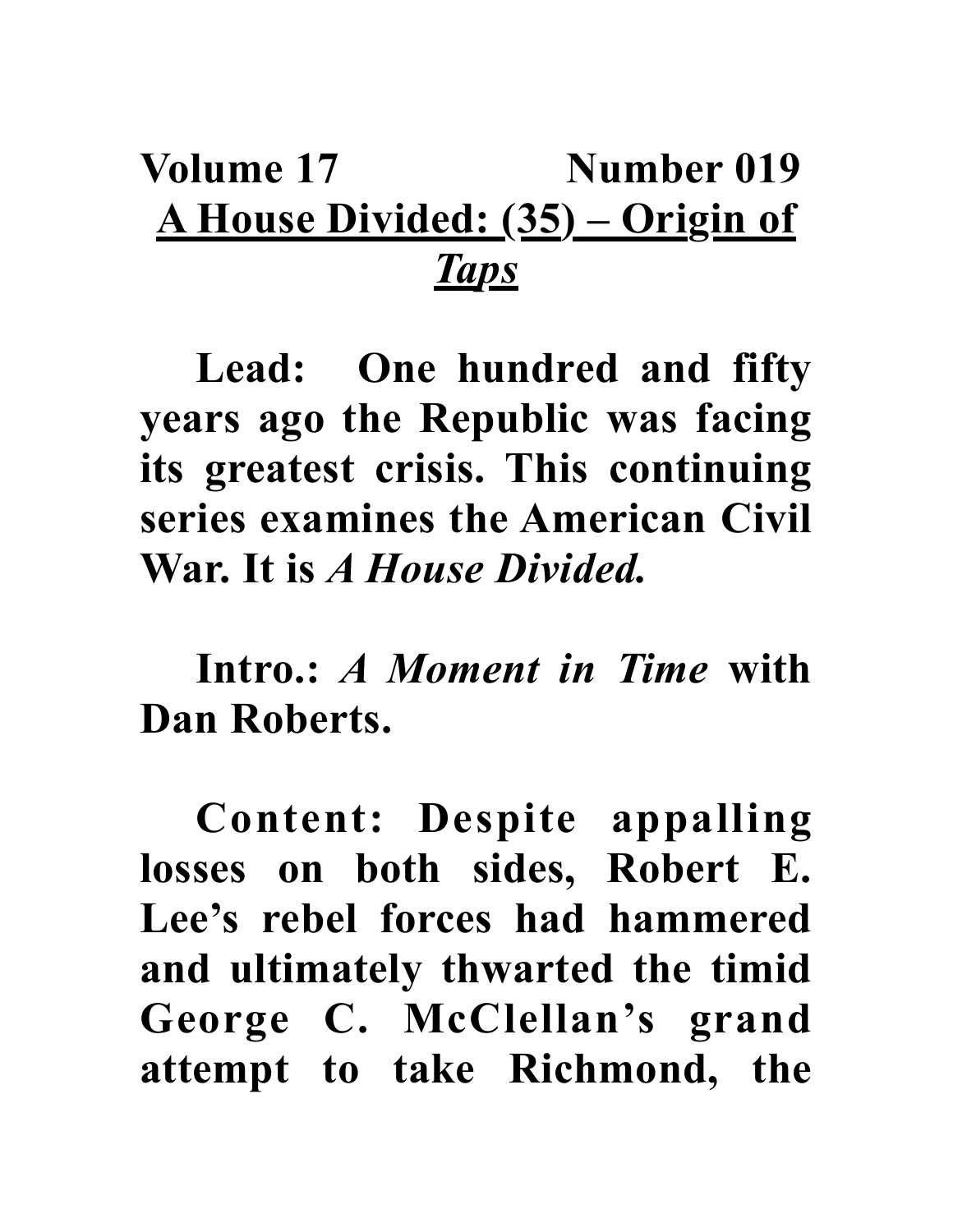## Volume 17 **Number 019 A House Divided: (35) – Origin of**  *Taps*

**Lead: One hundred and fifty years ago the Republic was facing its greatest crisis. This continuing series examines the American Civil War. It is** *A House Divided.*

**Intro.:** *A Moment in Time* **with Dan Roberts.**

**Content: Despite appalling losses on both sides, Robert E. Lee's rebel forces had hammered and ultimately thwarted the timid George C. McClellan's grand attempt to take Richmond, the**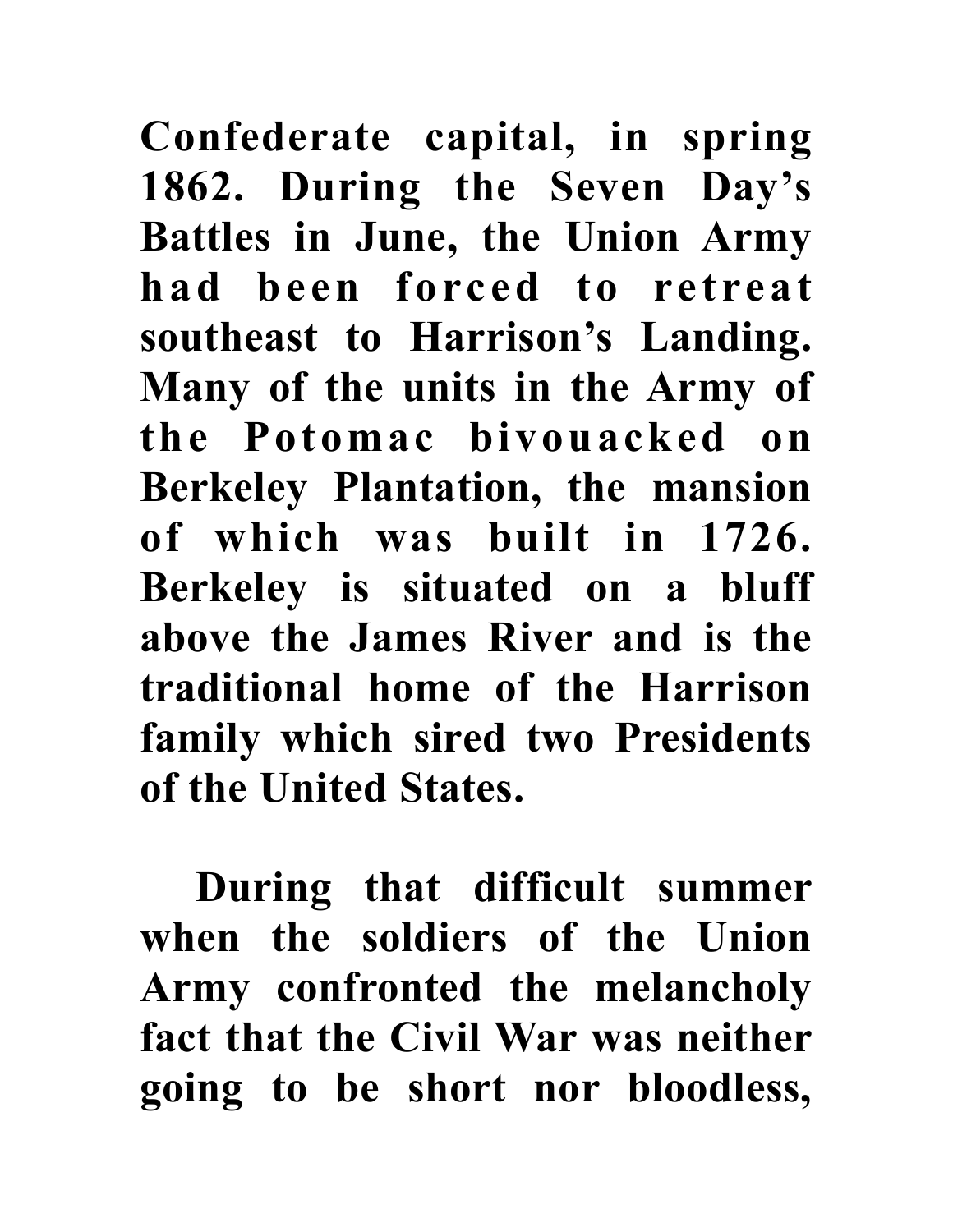**Confederate capital, in spring 1862. During the Seven Day's Battles in June, the Union Army had been forced to retreat southeast to Harrison's Landing. Many of the units in the Army of the Potomac bivouacked on Berkeley Plantation, the mansion of which was built in 1726. Berkeley is situated on a bluff above the James River and is the traditional home of the Harrison family which sired two Presidents of the United States.**

**During that difficult summer when the soldiers of the Union Army confronted the melancholy fact that the Civil War was neither going to be short nor bloodless,**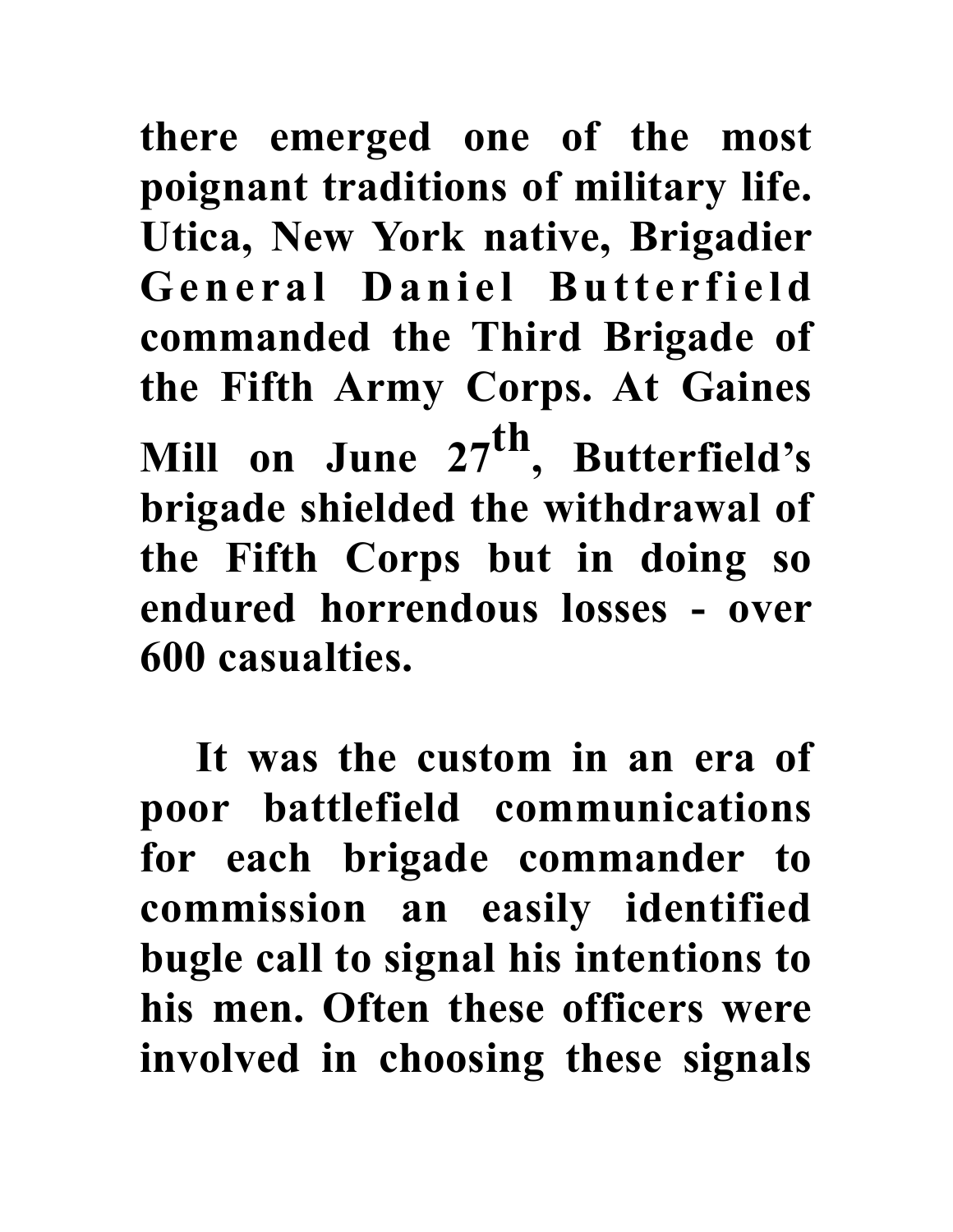**there emerged one of the most poignant traditions of military life. Utica, New York native, Brigadier**  General Daniel Butterfield **commanded the Third Brigade of the Fifth Army Corps. At Gaines Mill on June 27th, Butterfield's brigade shielded the withdrawal of the Fifth Corps but in doing so endured horrendous losses - over 600 casualties.** 

**It was the custom in an era of poor battlefield communications for each brigade commander to commission an easily identified bugle call to signal his intentions to his men. Often these officers were involved in choosing these signals**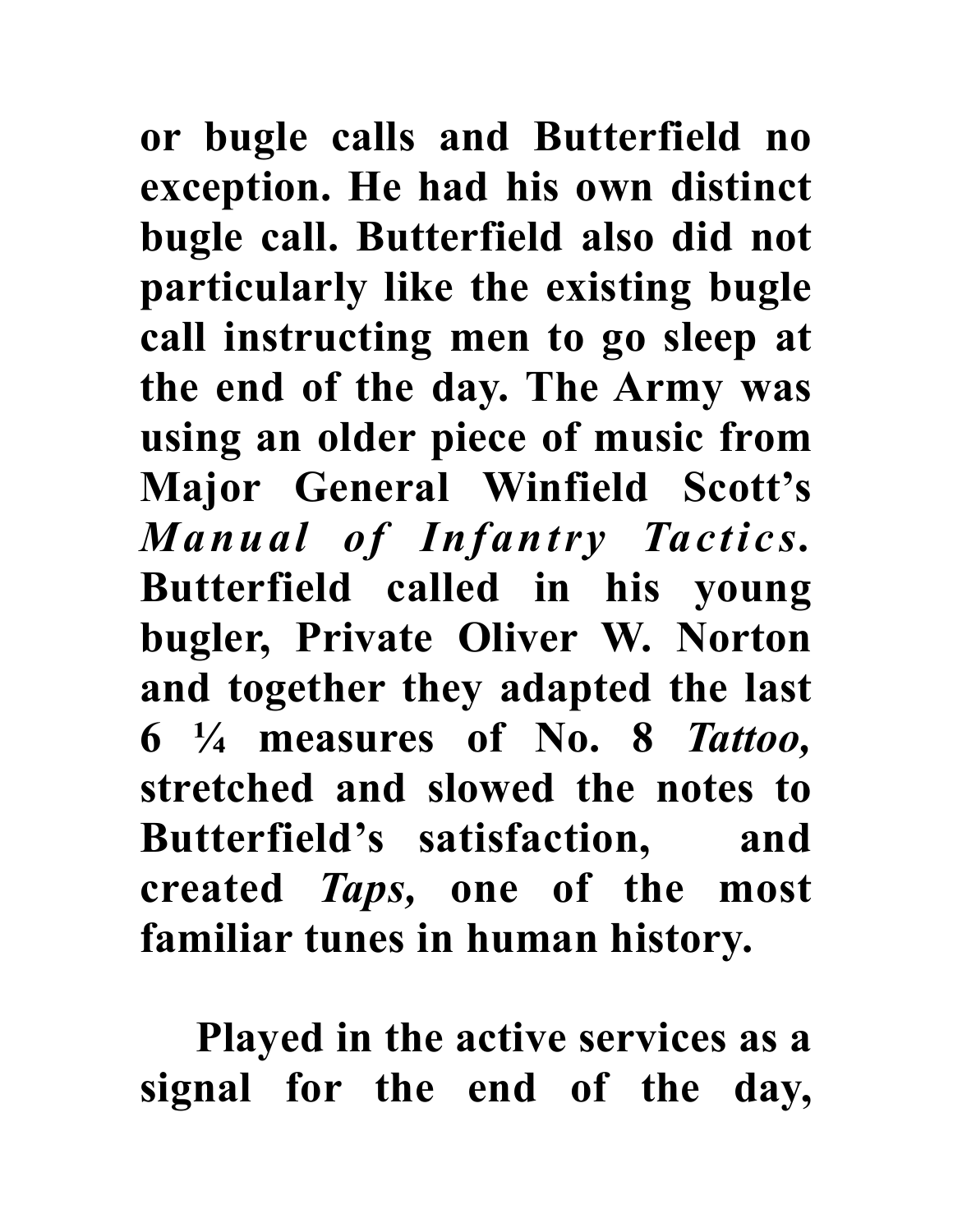**or bugle calls and Butterfield no exception. He had his own distinct bugle call. Butterfield also did not particularly like the existing bugle call instructing men to go sleep at the end of the day. The Army was using an older piece of music from Major General Winfield Scott's**  *Manual of Infantry Tactics.* **Butterfield called in his young bugler, Private Oliver W. Norton and together they adapted the last 6 ¼ measures of No. 8** *Tattoo,*  **stretched and slowed the notes to Butterfield's satisfaction, and created** *Taps,* **one of the most familiar tunes in human history.**

**Played in the active services as a signal for the end of the day,**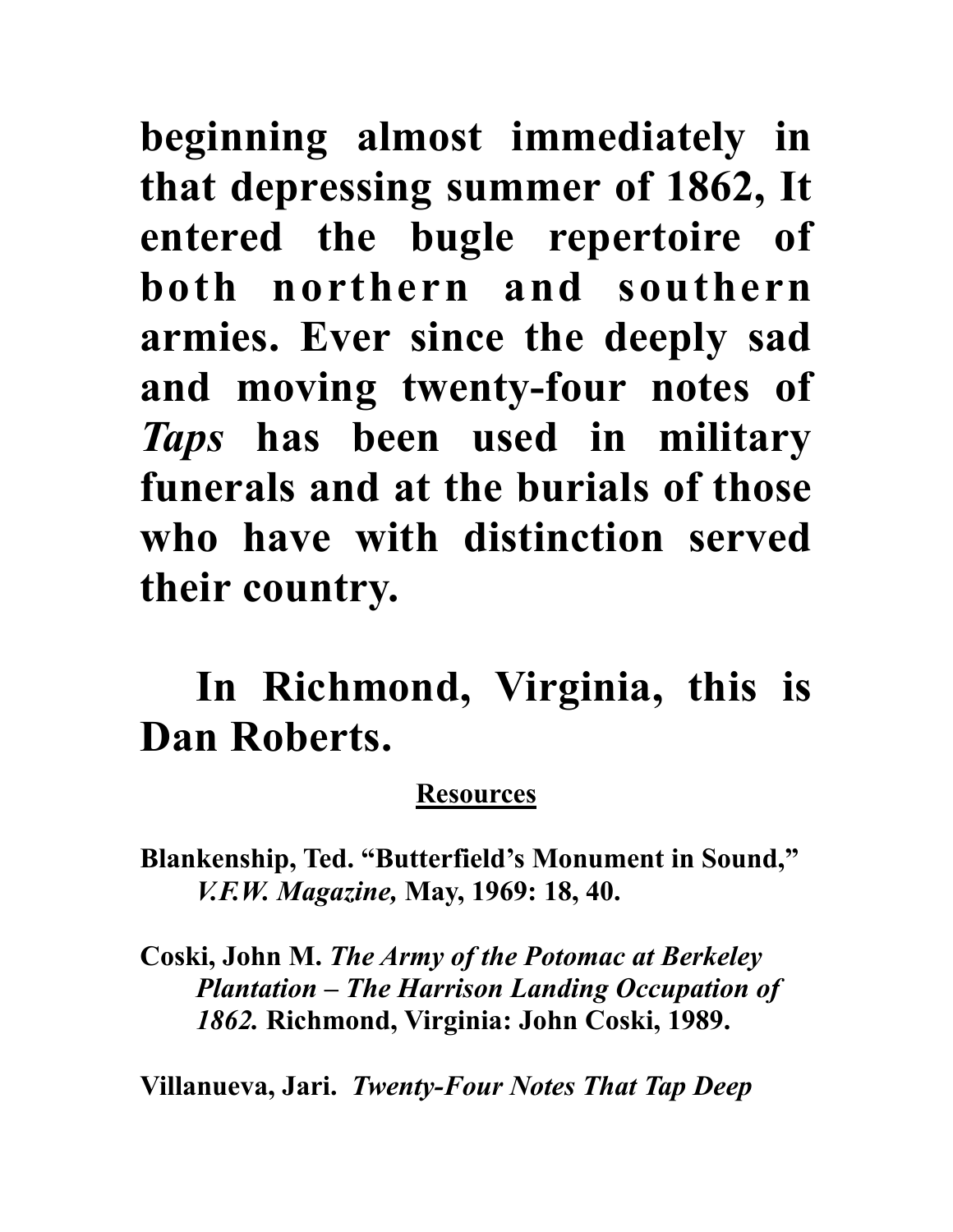**beginning almost immediately in that depressing summer of 1862, It entered the bugle repertoire of both northern and southern armies. Ever since the deeply sad and moving twenty-four notes of**  *Taps* **has been used in military funerals and at the burials of those who have with distinction served their country.** 

## **In Richmond, Virginia, this is Dan Roberts.**

## **Resources**

**Blankenship, Ted. "Butterfield's Monument in Sound,"**  *V.F.W. Magazine,* **May, 1969: 18, 40.**

**Coski, John M.** *The Army of the Potomac at Berkeley Plantation – The Harrison Landing Occupation of 1862.* **Richmond, Virginia: John Coski, 1989.**

**Villanueva, Jari.** *Twenty-Four Notes That Tap Deep*